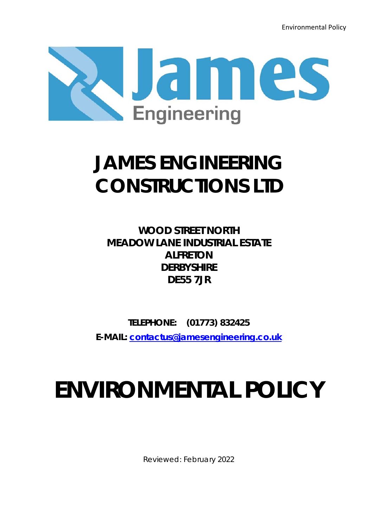Environmental Policy



# **JAMES ENGINEERING CONSTRUCTIONS LTD**

**WOOD STREET NORTH MEADOW LANE INDUSTRIAL ESTATE ALFRETON DERBYSHIRE DE55 7JR**

**TELEPHONE: (01773) 832425 E-MAIL: contactus@jamesengineering.co.uk**

# **ENVIRONMENTAL POLICY**

Reviewed: February 2022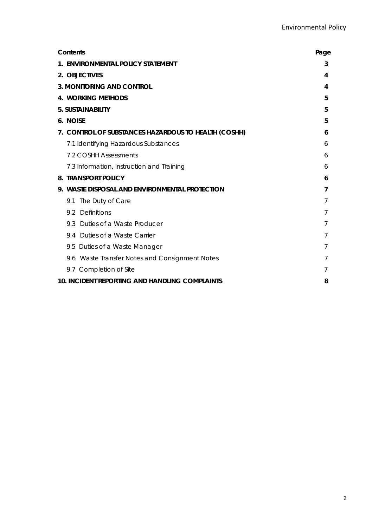| Contents                                             | Page |
|------------------------------------------------------|------|
| 1. ENVIRONMENTAL POLICY STATEMENT                    | 3    |
| 2. OBJECTIVES                                        | 4    |
| <b>3. MONITORING AND CONTROL</b>                     | 4    |
| <b>4. WORKING METHODS</b>                            | 5    |
| 5. SUSTAINABILITY                                    | 5    |
| 6. NOISE                                             | 5    |
| 7. CONTROL OF SUBSTANCES HAZARDOUS TO HEALTH (COSHH) | 6    |
| 7.1 Identifying Hazardous Substances                 | 6    |
| 7.2 COSHH Assessments                                | 6    |
| 7.3 Information, Instruction and Training            | 6    |
| <b>8. TRANSPORT POLICY</b>                           | 6    |
| 9. WASTE DISPOSAL AND ENVIRONMENTAL PROTECTION       | 7    |
| The Duty of Care<br>9.1                              | 7    |
| 9.2 Definitions                                      | 7    |
| Duties of a Waste Producer<br>9.3                    | 7    |
| 9.4 Duties of a Waste Carrier                        |      |
| 9.5 Duties of a Waste Manager                        | 7    |
| 9.6 Waste Transfer Notes and Consignment Notes       | 7    |
| 9.7 Completion of Site                               | 7    |
| 10. INCIDENT REPORTING AND HANDLING COMPLAINTS       | 8    |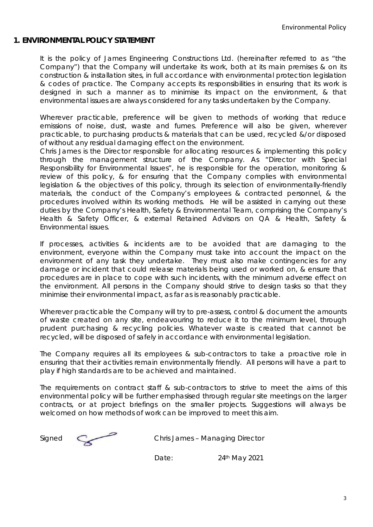# **1. ENVIRONMENTAL POLICY STATEMENT**

It is the policy of James Engineering Constructions Ltd. (hereinafter referred to as "the Company") that the Company will undertake its work, both at its main premises & on its construction & installation sites, in full accordance with environmental protection legislation & codes of practice. The Company accepts its responsibilities in ensuring that its work is designed in such a manner as to minimise its impact on the environment, & that environmental issues are always considered for any tasks undertaken by the Company.

Wherever practicable, preference will be given to methods of working that reduce emissions of noise, dust, waste and fumes. Preference will also be given, wherever practicable, to purchasing products & materials that can be used, recycled &/or disposed of without any residual damaging effect on the environment.

Chris James is the Director responsible for allocating resources & implementing this policy through the management structure of the Company. As "Director with Special Responsibility for Environmental Issues", he is responsible for the operation, monitoring & review of this policy, & for ensuring that the Company complies with environmental legislation & the objectives of this policy, through its selection of environmentally-friendly materials, the conduct of the Company's employees & contracted personnel, & the procedures involved within its working methods. He will be assisted in carrying out these duties by the Company's Health, Safety & Environmental Team, comprising the Company's Health & Safety Officer, & external Retained Advisors on QA & Health, Safety & Environmental issues.

If processes, activities & incidents are to be avoided that are damaging to the environment, everyone within the Company must take into account the impact on the environment of any task they undertake. They must also make contingencies for any damage or incident that could release materials being used or worked on, & ensure that procedures are in place to cope with such incidents, with the minimum adverse effect on the environment. All persons in the Company should strive to design tasks so that they minimise their environmental impact, as far as is reasonably practicable.

Wherever practicable the Company will try to pre-assess, control & document the amounts of waste created on any site, endeavouring to reduce it to the minimum level, through prudent purchasing & recycling policies. Whatever waste is created that cannot be recycled, will be disposed of safely in accordance with environmental legislation.

The Company requires all its employees & sub-contractors to take a proactive role in ensuring that their activities remain environmentally friendly. All persons will have a part to play if high standards are to be achieved and maintained.

The requirements on contract staff & sub-contractors to strive to meet the aims of this environmental policy will be further emphasised through regular site meetings on the larger contracts, or at project briefings on the smaller projects. Suggestions will always be welcomed on how methods of work can be improved to meet this aim.

Signed Chris James – Managing Director

Date: 24<sup>th</sup> May 2021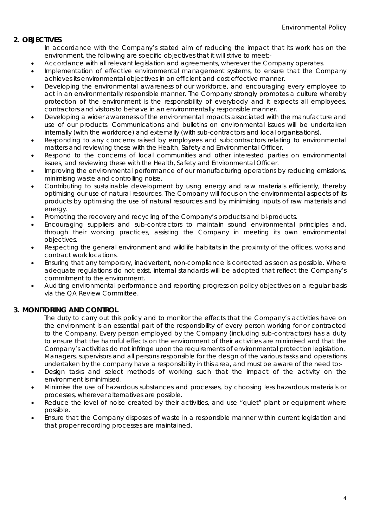## **2. OBJECTIVES**

In accordance with the Company's stated aim of reducing the impact that its work has on the environment, the following are specific objectives that it will strive to meet:-

- Accordance with all relevant legislation and agreements, wherever the Company operates.
- Implementation of effective environmental management systems, to ensure that the Company achieves its environmental objectives in an efficient and cost effective manner.
- Developing the environmental awareness of our workforce, and encouraging every employee to act in an environmentally responsible manner. The Company strongly promotes a culture whereby protection of the environment is the responsibility of everybody and it expects all employees, contractors and visitors to behave in an environmentally responsible manner.
- Developing a wider awareness of the environmental impacts associated with the manufacture and use of our products. Communications and bulletins on environmental issues will be undertaken internally (with the workforce) and externally (with sub-contractors and local organisations).
- Responding to any concerns raised by employees and subcontractors relating to environmental matters and reviewing these with the Health, Safety and Environmental Officer.
- Respond to the concerns of local communities and other interested parties on environmental issues, and reviewing these with the Health, Safety and Environmental Officer.
- Improving the environmental performance of our manufacturing operations by reducing emissions, minimising waste and controlling noise.
- Contributing to sustainable development by using energy and raw materials efficiently, thereby optimising our use of natural resources. The Company will focus on the environmental aspects of its products by optimising the use of natural resources and by minimising inputs of raw materials and energy.
- Promoting the recovery and recycling of the Company's products and bi-products.
- Encouraging suppliers and sub-contractors to maintain sound environmental principles and, through their working practices, assisting the Company in meeting its own environmental objectives.
- Respecting the general environment and wildlife habitats in the proximity of the offices, works and contract work locations.
- Ensuring that any temporary, inadvertent, non-compliance is corrected as soon as possible. Where adequate regulations do not exist, internal standards will be adopted that reflect the Company's commitment to the environment.
- Auditing environmental performance and reporting progress on policy objectives on a regular basis via the QA Review Committee.

#### **3. MONITORING AND CONTROL**

The duty to carry out this policy and to monitor the effects that the Company's activities have on the environment is an essential part of the responsibility of every person working for or contracted to the Company. Every person employed by the Company (including sub-contractors) has a duty to ensure that the harmful effects on the environment of their activities are minimised and that the Company's activities do not infringe upon the requirements of environmental protection legislation. Managers, supervisors and all persons responsible for the design of the various tasks and operations undertaken by the company have a responsibility in this area, and must be aware of the need to:-

- Design tasks and select methods of working such that the impact of the activity on the environment is minimised.
- Minimise the use of hazardous substances and processes, by choosing less hazardous materials or processes, wherever alternatives are possible.
- Reduce the level of noise created by their activities, and use "quiet" plant or equipment where possible.
- Ensure that the Company disposes of waste in a responsible manner within current legislation and that proper recording processes are maintained.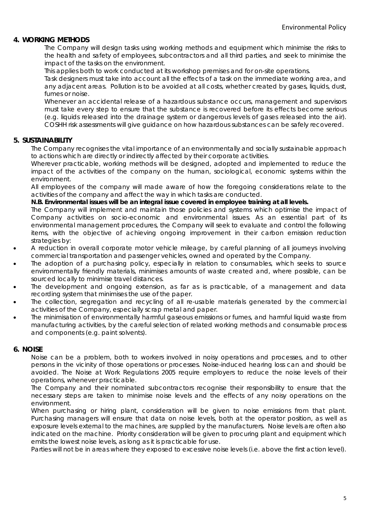#### **4. WORKING METHODS**

 The Company will design tasks using working methods and equipment which minimise the risks to the health and safety of employees, subcontractors and all third parties, and seek to minimise the impact of the tasks on the environment.

This applies both to work conducted at its workshop premises and for on-site operations.

 Task designers must take into account all the effects of a task on the immediate working area, and any adjacent areas. Pollution is to be avoided at all costs, whether created by gases, liquids, dust, fumes or noise.

 Whenever an accidental release of a hazardous substance occurs, management and supervisors must take every step to ensure that the substance is recovered before its effects become serious (e.g. liquids released into the drainage system or dangerous levels of gases released into the air). COSHH risk assessments will give guidance on how hazardous substances can be safely recovered.

#### **5. SUSTAINABILITY**

The Company recognises the vital importance of an environmentally and socially sustainable approach to actions which are directly or indirectly affected by their corporate activities.

 Wherever practicable, working methods will be designed, adopted and implemented to reduce the impact of the activities of the company on the human, sociological, economic systems within the environment.

 All employees of the company will made aware of how the foregoing considerations relate to the activities of the company and affect the way in which tasks are conducted.

#### **N.B. Environmental issues will be an integral issue covered in employee training at all levels.**

 The Company will implement and maintain those policies and systems which optimise the impact of Company activities on socio-economic and environmental issues. As an essential part of its environmental management procedures, the Company will seek to evaluate and control the following items, with the objective of achieving ongoing improvement in their carbon emission reduction strategies by:

- A reduction in overall corporate motor vehicle mileage, by careful planning of all journeys involving commercial transportation and passenger vehicles, owned and operated by the Company.
- The adoption of a purchasing policy, especially in relation to consumables, which seeks to source environmentally friendly materials, minimises amounts of waste created and, where possible, can be sourced locally to minimise travel distances.
- The development and ongoing extension, as far as is practicable, of a management and data recording system that minimises the use of the paper.
- The collection, segregation and recycling of all re-usable materials generated by the commercial activities of the Company, especially scrap metal and paper.
- The minimisation of environmentally harmful gaseous emissions or fumes, and harmful liquid waste from manufacturing activities, by the careful selection of related working methods and consumable process and components (e.g. paint solvents).

#### **6. NOISE**

Noise can be a problem, both to workers involved in noisy operations and processes, and to other persons in the vicinity of those operations or processes. Noise-induced hearing loss can and should be avoided. The Noise at Work Regulations 2005 require employers to reduce the noise levels of their operations, whenever practicable.

The Company and their nominated subcontractors recognise their responsibility to ensure that the necessary steps are taken to minimise noise levels and the effects of any noisy operations on the environment.

When purchasing or hiring plant, consideration will be given to noise emissions from that plant. Purchasing managers will ensure that data on noise levels, both at the operator position, as well as exposure levels external to the machines, are supplied by the manufacturers. Noise levels are often also indicated on the machine. Priority consideration will be given to procuring plant and equipment which emits the lowest noise levels, as long as it is practicable for use.

Parties will not be in areas where they exposed to excessive noise levels (i.e. above the first action level).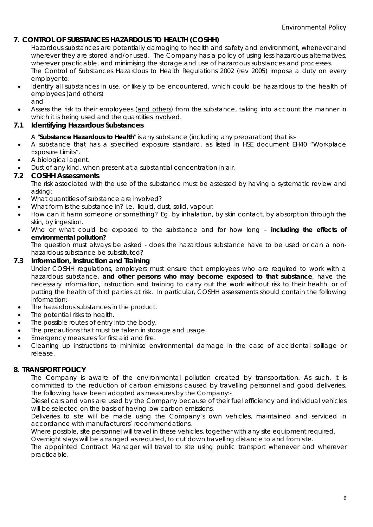# **7. CONTROL OF SUBSTANCES HAZARDOUS TO HEALTH (COSHH)**

Hazardous substances are potentially damaging to health and safety and environment, whenever and wherever they are stored and/or used. The Company has a policy of using less hazardous alternatives, wherever practicable, and minimising the storage and use of hazardous substances and processes. The Control of Substances Hazardous to Health Regulations 2002 (rev 2005) impose a duty on every employer to:

- Identify all substances in use, or likely to be encountered, which could be hazardous to the health of employees (and others)
	- and
- Assess the risk to their employees (and others) from the substance, taking into account the manner in which it is being used and the quantities involved.

#### **7.1 Identifying Hazardous Substances**

A "**Substance Hazardous to Health**" is any substance (including any preparation) that is:-

- A substance that has a specified exposure standard, as listed in HSE document EH40 "Workplace Exposure Limits".
- A biological agent.
- Dust of any kind, when present at a substantial concentration in air.

#### **7.2 COSHH Assessments**

The risk associated with the use of the substance must be assessed by having a systematic review and asking:

- What quantities of substance are involved?
- What form is the substance in? i.e. liquid, dust, solid, vapour.
- How can it harm someone or something? Eg. by inhalation, by skin contact, by absorption through the skin, by ingestion.
- Who or what could be exposed to the substance and for how long **including the effects of environmental pollution?**

The question must always be asked - does the hazardous substance have to be used or can a nonhazardous substance be substituted?

#### **7.3 Information, Instruction and Training**

Under COSHH regulations, employers must ensure that employees who are required to work with a hazardous substance, **and other persons who may become exposed to that substance**, have the necessary information, instruction and training to carry out the work without risk to their health, or of putting the health of third parties at risk. In particular, COSHH assessments should contain the following information:-

- The hazardous substances in the product.
- The potential risks to health.
- The possible routes of entry into the body.
- The precautions that must be taken in storage and usage.
- Emergency measures for first aid and fire.
- Cleaning up instructions to minimise environmental damage in the case of accidental spillage or release.

#### **8. TRANSPORT POLICY**

The Company is aware of the environmental pollution created by transportation. As such, it is committed to the reduction of carbon emissions caused by travelling personnel and good deliveries. The following have been adopted as measures by the Company:-

Diesel cars and vans are used by the Company because of their fuel efficiency and individual vehicles will be selected on the basis of having low carbon emissions.

Deliveries to site will be made using the Company's own vehicles, maintained and serviced in accordance with manufacturers' recommendations.

Where possible, site personnel will travel in these vehicles, together with any site equipment required.

Overnight stays will be arranged as required, to cut down travelling distance to and from site.

The appointed Contract Manager will travel to site using public transport whenever and wherever practicable.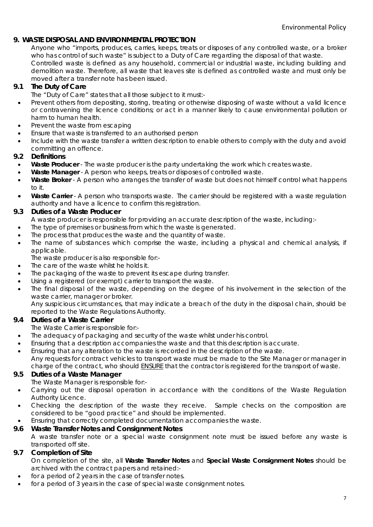# **9. WASTE DISPOSAL AND ENVIRONMENTAL PROTECTION**

Anyone who "imports, produces, carries, keeps, treats or disposes of any controlled waste, or a broker who has control of such waste" is subject to a Duty of Care regarding the disposal of that waste. Controlled waste is defined as any household, commercial or industrial waste, including building and demolition waste. Therefore, all waste that leaves site is defined as controlled waste and must only be moved after a transfer note has been issued.

# **9.1 The Duty of Care**

- The "Duty of Care" states that all those subject to it must:-
- Prevent others from depositing, storing, treating or otherwise disposing of waste without a valid licence or contravening the licence conditions; or act in a manner likely to cause environmental pollution or harm to human health.
- Prevent the waste from escaping
- Ensure that waste is transferred to an authorised person
- Include with the waste transfer a written description to enable others to comply with the duty and avoid committing an offence.

#### **9.2 Definitions**

- **Waste Producer** The waste producer is the party undertaking the work which creates waste.
- **Waste Manager** A person who keeps, treats or disposes of controlled waste.
- Waste Broker A person who arranges the transfer of waste but does not himself control what happens to it.
- Waste Carrier A person who transports waste. The carrier should be registered with a waste regulation authority and have a licence to confirm this registration.

#### **9.3 Duties of a Waste Producer**

A waste producer is responsible for providing an accurate description of the waste, including:-

- The type of premises or business from which the waste is generated.
- The process that produces the waste and the quantity of waste.
- The name of substances which comprise the waste, including a physical and chemical analysis, if applicable.

The waste producer is also responsible for:-

- The care of the waste whilst he holds it.
- The packaging of the waste to prevent its escape during transfer.
- Using a registered (or exempt) carrier to transport the waste.
- The final disposal of the waste, depending on the degree of his involvement in the selection of the waste carrier, manager or broker.

Any suspicious circumstances, that may indicate a breach of the duty in the disposal chain, should be reported to the Waste Regulations Authority.

#### **9.4 Duties of a Waste Carrier**

The Waste Carrier is responsible for:-

- The adequacy of packaging and security of the waste whilst under his control.
- Ensuring that a description accompanies the waste and that this description is accurate.
- Ensuring that any alteration to the waste is recorded in the description of the waste. Any requests for contract vehicles to transport waste must be made to the Site Manager or manager in charge of the contract, who should ENSURE that the contractor is registered for the transport of waste.

#### **9.5 Duties of a Waste Manager**

The Waste Manager is responsible for:-

- Carrying out the disposal operation in accordance with the conditions of the Waste Regulation Authority Licence.
- Checking the description of the waste they receive. Sample checks on the composition are considered to be "good practice" and should be implemented.
- Ensuring that correctly completed documentation accompanies the waste.

#### **9.6 Waste Transfer Notes and Consignment Notes**

A waste transfer note or a special waste consignment note must be issued before any waste is transported off site.

#### **9.7 Completion of Site**

- On completion of the site, all **Waste Transfer Notes** and **Special Waste Consignment Notes** should be archived with the contract papers and retained:-
- for a period of 2 years in the case of transfer notes.
- for a period of 3 years in the case of special waste consignment notes.